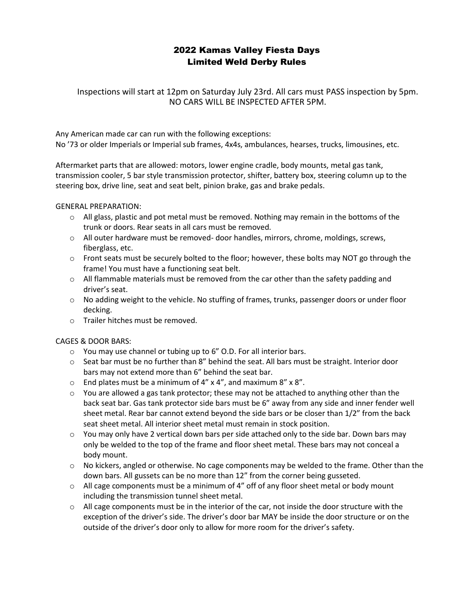# 2022 Kamas Valley Fiesta Days Limited Weld Derby Rules

Inspections will start at 12pm on Saturday July 23rd. All cars must PASS inspection by 5pm. NO CARS WILL BE INSPECTED AFTER 5PM.

Any American made car can run with the following exceptions: No '73 or older Imperials or Imperial sub frames, 4x4s, ambulances, hearses, trucks, limousines, etc.

Aftermarket parts that are allowed: motors, lower engine cradle, body mounts, metal gas tank, transmission cooler, 5 bar style transmission protector, shifter, battery box, steering column up to the steering box, drive line, seat and seat belt, pinion brake, gas and brake pedals.

GENERAL PREPARATION:

- $\circ$  All glass, plastic and pot metal must be removed. Nothing may remain in the bottoms of the trunk or doors. Rear seats in all cars must be removed.
- $\circ$  All outer hardware must be removed- door handles, mirrors, chrome, moldings, screws, fiberglass, etc.
- $\circ$  Front seats must be securely bolted to the floor; however, these bolts may NOT go through the frame! You must have a functioning seat belt.
- $\circ$  All flammable materials must be removed from the car other than the safety padding and driver's seat.
- o No adding weight to the vehicle. No stuffing of frames, trunks, passenger doors or under floor decking.
- o Trailer hitches must be removed.

CAGES & DOOR BARS:

- o You may use channel or tubing up to 6" O.D. For all interior bars.
- $\circ$  Seat bar must be no further than 8" behind the seat. All bars must be straight. Interior door bars may not extend more than 6" behind the seat bar.
- $\circ$  End plates must be a minimum of 4" x 4", and maximum 8" x 8".
- $\circ$  You are allowed a gas tank protector; these may not be attached to anything other than the back seat bar. Gas tank protector side bars must be 6" away from any side and inner fender well sheet metal. Rear bar cannot extend beyond the side bars or be closer than 1/2" from the back seat sheet metal. All interior sheet metal must remain in stock position.
- $\circ$  You may only have 2 vertical down bars per side attached only to the side bar. Down bars may only be welded to the top of the frame and floor sheet metal. These bars may not conceal a body mount.
- $\circ$  No kickers, angled or otherwise. No cage components may be welded to the frame. Other than the down bars. All gussets can be no more than 12" from the corner being gusseted.
- $\circ$  All cage components must be a minimum of 4" off of any floor sheet metal or body mount including the transmission tunnel sheet metal.
- $\circ$  All cage components must be in the interior of the car, not inside the door structure with the exception of the driver's side. The driver's door bar MAY be inside the door structure or on the outside of the driver's door only to allow for more room for the driver's safety.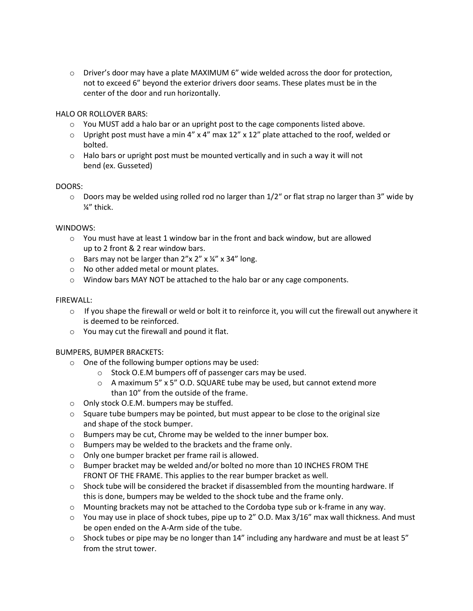$\circ$  Driver's door may have a plate MAXIMUM 6" wide welded across the door for protection, not to exceed 6" beyond the exterior drivers door seams. These plates must be in the center of the door and run horizontally.

HALO OR ROLLOVER BARS:

- $\circ$  You MUST add a halo bar or an upright post to the cage components listed above.
- $\circ$  Upright post must have a min 4" x 4" max 12" x 12" plate attached to the roof, welded or bolted.
- $\circ$  Halo bars or upright post must be mounted vertically and in such a way it will not bend (ex. Gusseted)

# DOORS:

 $\circ$  Doors may be welded using rolled rod no larger than 1/2" or flat strap no larger than 3" wide by ¼" thick.

# WINDOWS:

- $\circ$  You must have at least 1 window bar in the front and back window, but are allowed up to 2 front & 2 rear window bars.
- $\circ$  Bars may not be larger than 2"x 2" x 14" x 34" long.
- o No other added metal or mount plates.
- o Window bars MAY NOT be attached to the halo bar or any cage components.

# FIREWALL:

- $\circ$  If you shape the firewall or weld or bolt it to reinforce it, you will cut the firewall out anywhere it is deemed to be reinforced.
- o You may cut the firewall and pound it flat.

# BUMPERS, BUMPER BRACKETS:

- $\circ$  One of the following bumper options may be used:
	- o Stock O.E.M bumpers off of passenger cars may be used.
	- $\circ$  A maximum 5" x 5" O.D. SQUARE tube may be used, but cannot extend more than 10" from the outside of the frame.
- o Only stock O.E.M. bumpers may be stuffed.
- $\circ$  Square tube bumpers may be pointed, but must appear to be close to the original size and shape of the stock bumper.
- o Bumpers may be cut, Chrome may be welded to the inner bumper box.
- o Bumpers may be welded to the brackets and the frame only.
- o Only one bumper bracket per frame rail is allowed.
- $\circ$  Bumper bracket may be welded and/or bolted no more than 10 INCHES FROM THE FRONT OF THE FRAME. This applies to the rear bumper bracket as well.
- $\circ$  Shock tube will be considered the bracket if disassembled from the mounting hardware. If this is done, bumpers may be welded to the shock tube and the frame only.
- $\circ$  Mounting brackets may not be attached to the Cordoba type sub or k-frame in any way.
- o You may use in place of shock tubes, pipe up to 2" O.D. Max 3/16" max wall thickness. And must be open ended on the A-Arm side of the tube.
- $\circ$  Shock tubes or pipe may be no longer than 14" including any hardware and must be at least 5" from the strut tower.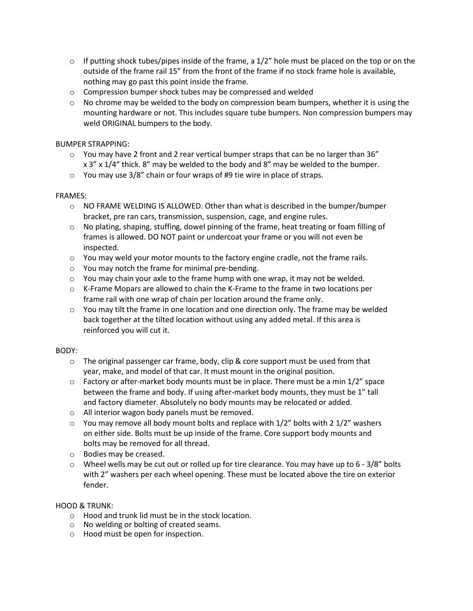- $\circ$  If putting shock tubes/pipes inside of the frame, a 1/2" hole must be placed on the top or on the outside of the frame rail 15" from the front of the frame if no stock frame hole is available, nothing may go past this point inside the frame.
- o Compression bumper shock tubes may be compressed and welded
- $\circ$  No chrome may be welded to the body on compression beam bumpers, whether it is using the mounting hardware or not. This includes square tube bumpers. Non compression bumpers may weld ORIGINAL bumpers to the body.

# BUMPER STRAPPING:

- $\circ$  You may have 2 front and 2 rear vertical bumper straps that can be no larger than 36" x 3" x 1/4" thick. 8" may be welded to the body and 8" may be welded to the bumper.
- o You may use 3/8" chain or four wraps of #9 tie wire in place of straps.

# FRAMES:

- $\circ$  NO FRAME WELDING IS ALLOWED. Other than what is described in the bumper/bumper bracket, pre ran cars, transmission, suspension, cage, and engine rules.
- $\circ$  No plating, shaping, stuffing, dowel pinning of the frame, heat treating or foam filling of frames is allowed. DO NOT paint or undercoat your frame or you will not even be inspected.
- $\circ$  You may weld your motor mounts to the factory engine cradle, not the frame rails.
- o You may notch the frame for minimal pre-bending.
- $\circ$  You may chain your axle to the frame hump with one wrap, it may not be welded.
- $\circ$  K-Frame Mopars are allowed to chain the K-Frame to the frame in two locations per frame rail with one wrap of chain per location around the frame only.
- $\circ$  You may tilt the frame in one location and one direction only. The frame may be welded back together at the tilted location without using any added metal. If this area is reinforced you will cut it.

# BODY:

- $\circ$  The original passenger car frame, body, clip & core support must be used from that year, make, and model of that car. It must mount in the original position.
- $\circ$  Factory or after-market body mounts must be in place. There must be a min  $1/2$ " space between the frame and body. If using after-market body mounts, they must be 1" tall and factory diameter. Absolutely no body mounts may be relocated or added.
- o All interior wagon body panels must be removed.
- $\circ$  You may remove all body mount bolts and replace with 1/2" bolts with 2 1/2" washers on either side. Bolts must be up inside of the frame. Core support body mounts and bolts may be removed for all thread.
- o Bodies may be creased.
- $\circ$  Wheel wells may be cut out or rolled up for tire clearance. You may have up to 6 3/8" bolts with 2" washers per each wheel opening. These must be located above the tire on exterior fender.

# HOOD & TRUNK:

- o Hood and trunk lid must be in the stock location.
- o No welding or bolting of created seams.
- o Hood must be open for inspection.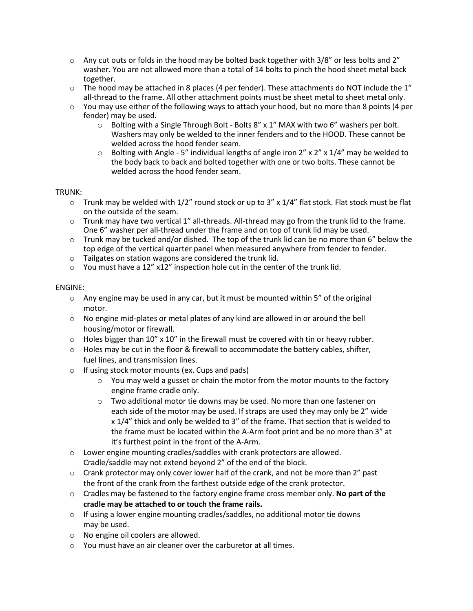- $\circ$  Any cut outs or folds in the hood may be bolted back together with 3/8" or less bolts and 2" washer. You are not allowed more than a total of 14 bolts to pinch the hood sheet metal back together.
- $\circ$  The hood may be attached in 8 places (4 per fender). These attachments do NOT include the 1" all-thread to the frame. All other attachment points must be sheet metal to sheet metal only.
- $\circ$  You may use either of the following ways to attach your hood, but no more than 8 points (4 per fender) may be used.
	- $\circ$  Bolting with a Single Through Bolt Bolts 8" x 1" MAX with two 6" washers per bolt. Washers may only be welded to the inner fenders and to the HOOD. These cannot be welded across the hood fender seam.
	- $\circ$  Bolting with Angle 5" individual lengths of angle iron 2" x 2" x 1/4" may be welded to the body back to back and bolted together with one or two bolts. These cannot be welded across the hood fender seam.

# TRUNK:

- $\circ$  Trunk may be welded with 1/2" round stock or up to 3" x 1/4" flat stock. Flat stock must be flat on the outside of the seam.
- $\circ$  Trunk may have two vertical 1" all-threads. All-thread may go from the trunk lid to the frame. One 6" washer per all-thread under the frame and on top of trunk lid may be used.
- $\circ$  Trunk may be tucked and/or dished. The top of the trunk lid can be no more than 6" below the top edge of the vertical quarter panel when measured anywhere from fender to fender.
- o Tailgates on station wagons are considered the trunk lid.
- o You must have a 12" x12" inspection hole cut in the center of the trunk lid.

#### ENGINE:

- $\circ$  Any engine may be used in any car, but it must be mounted within 5" of the original motor.
- $\circ$  No engine mid-plates or metal plates of any kind are allowed in or around the bell housing/motor or firewall.
- $\circ$  Holes bigger than 10" x 10" in the firewall must be covered with tin or heavy rubber.
- $\circ$  Holes may be cut in the floor & firewall to accommodate the battery cables, shifter, fuel lines, and transmission lines.
- o If using stock motor mounts (ex. Cups and pads)
	- $\circ$  You may weld a gusset or chain the motor from the motor mounts to the factory engine frame cradle only.
	- $\circ$  Two additional motor tie downs may be used. No more than one fastener on each side of the motor may be used. If straps are used they may only be 2" wide x 1/4" thick and only be welded to 3" of the frame. That section that is welded to the frame must be located within the A-Arm foot print and be no more than 3" at it's furthest point in the front of the A-Arm.
- o Lower engine mounting cradles/saddles with crank protectors are allowed. Cradle/saddle may not extend beyond 2" of the end of the block.
- $\circ$  Crank protector may only cover lower half of the crank, and not be more than 2" past the front of the crank from the farthest outside edge of the crank protector.
- o Cradles may be fastened to the factory engine frame cross member only. **No part of the cradle may be attached to or touch the frame rails.**
- $\circ$  If using a lower engine mounting cradles/saddles, no additional motor tie downs may be used.
- o No engine oil coolers are allowed.
- o You must have an air cleaner over the carburetor at all times.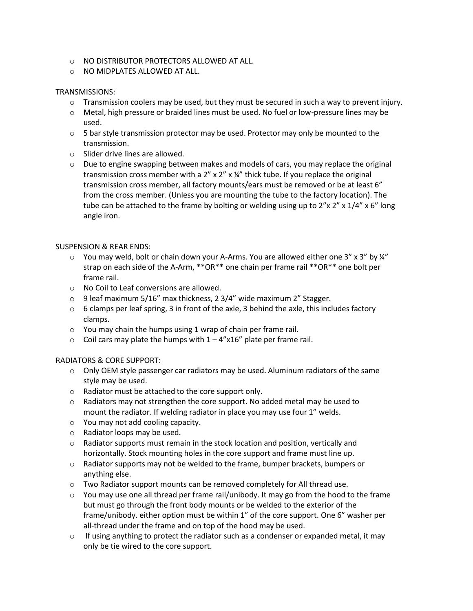- o NO DISTRIBUTOR PROTECTORS ALLOWED AT ALL.
- o NO MIDPLATES ALLOWED AT ALL.

# TRANSMISSIONS:

- $\circ$  Transmission coolers may be used, but they must be secured in such a way to prevent injury.
- o Metal, high pressure or braided lines must be used. No fuel or low-pressure lines may be used.
- $\circ$  5 bar style transmission protector may be used. Protector may only be mounted to the transmission.
- o Slider drive lines are allowed.
- $\circ$  Due to engine swapping between makes and models of cars, you may replace the original transmission cross member with a  $2''$  x  $2''$  x  $\frac{1}{4}''$  thick tube. If you replace the original transmission cross member, all factory mounts/ears must be removed or be at least 6" from the cross member. (Unless you are mounting the tube to the factory location). The tube can be attached to the frame by bolting or welding using up to  $2''x 2''x 1/4''x 6''$  long angle iron.

# SUSPENSION & REAR ENDS:

- $\circ$  You may weld, bolt or chain down your A-Arms. You are allowed either one 3" x 3" by  $\frac{1}{4}$ " strap on each side of the A-Arm, \*\*OR\*\* one chain per frame rail \*\*OR\*\* one bolt per frame rail.
- o No Coil to Leaf conversions are allowed.
- $\circ$  9 leaf maximum 5/16" max thickness, 2 3/4" wide maximum 2" Stagger.
- $\circ$  6 clamps per leaf spring, 3 in front of the axle, 3 behind the axle, this includes factory clamps.
- $\circ$  You may chain the humps using 1 wrap of chain per frame rail.
- $\circ$  Coil cars may plate the humps with  $1 4''$ x16" plate per frame rail.

# RADIATORS & CORE SUPPORT:

- $\circ$  Only OEM style passenger car radiators may be used. Aluminum radiators of the same style may be used.
- o Radiator must be attached to the core support only.
- $\circ$  Radiators may not strengthen the core support. No added metal may be used to mount the radiator. If welding radiator in place you may use four 1" welds.
- o You may not add cooling capacity.
- o Radiator loops may be used.
- $\circ$  Radiator supports must remain in the stock location and position, vertically and horizontally. Stock mounting holes in the core support and frame must line up.
- $\circ$  Radiator supports may not be welded to the frame, bumper brackets, bumpers or anything else.
- $\circ$  Two Radiator support mounts can be removed completely for All thread use.
- $\circ$  You may use one all thread per frame rail/unibody. It may go from the hood to the frame but must go through the front body mounts or be welded to the exterior of the frame/unibody. either option must be within 1" of the core support. One 6" washer per all-thread under the frame and on top of the hood may be used.
- $\circ$  If using anything to protect the radiator such as a condenser or expanded metal, it may only be tie wired to the core support.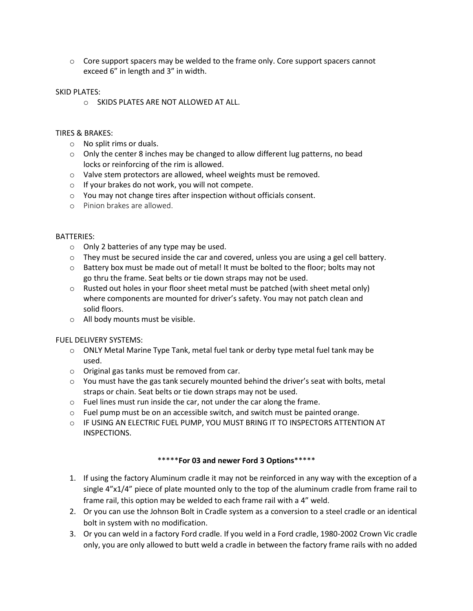$\circ$  Core support spacers may be welded to the frame only. Core support spacers cannot exceed 6" in length and 3" in width.

#### SKID PLATES:

o SKIDS PLATES ARE NOT ALLOWED AT ALL.

#### TIRES & BRAKES:

- o No split rims or duals.
- $\circ$  Only the center 8 inches may be changed to allow different lug patterns, no bead locks or reinforcing of the rim is allowed.
- o Valve stem protectors are allowed, wheel weights must be removed.
- o If your brakes do not work, you will not compete.
- o You may not change tires after inspection without officials consent.
- o Pinion brakes are allowed.

#### BATTERIES:

- o Only 2 batteries of any type may be used.
- $\circ$  They must be secured inside the car and covered, unless you are using a gel cell battery.
- $\circ$  Battery box must be made out of metal! It must be bolted to the floor; bolts may not go thru the frame. Seat belts or tie down straps may not be used.
- $\circ$  Rusted out holes in your floor sheet metal must be patched (with sheet metal only) where components are mounted for driver's safety. You may not patch clean and solid floors.
- o All body mounts must be visible.

# FUEL DELIVERY SYSTEMS:

- $\circ$  ONLY Metal Marine Type Tank, metal fuel tank or derby type metal fuel tank may be used.
- o Original gas tanks must be removed from car.
- $\circ$  You must have the gas tank securely mounted behind the driver's seat with bolts, metal straps or chain. Seat belts or tie down straps may not be used.
- o Fuel lines must run inside the car, not under the car along the frame.
- $\circ$  Fuel pump must be on an accessible switch, and switch must be painted orange.
- $\circ$  IF USING AN ELECTRIC FUEL PUMP, YOU MUST BRING IT TO INSPECTORS ATTENTION AT INSPECTIONS.

# \*\*\*\*\***For 03 and newer Ford 3 Options**\*\*\*\*\*

- 1. If using the factory Aluminum cradle it may not be reinforced in any way with the exception of a single 4"x1/4" piece of plate mounted only to the top of the aluminum cradle from frame rail to frame rail, this option may be welded to each frame rail with a 4" weld.
- 2. Or you can use the Johnson Bolt in Cradle system as a conversion to a steel cradle or an identical bolt in system with no modification.
- 3. Or you can weld in a factory Ford cradle. If you weld in a Ford cradle, 1980-2002 Crown Vic cradle only, you are only allowed to butt weld a cradle in between the factory frame rails with no added